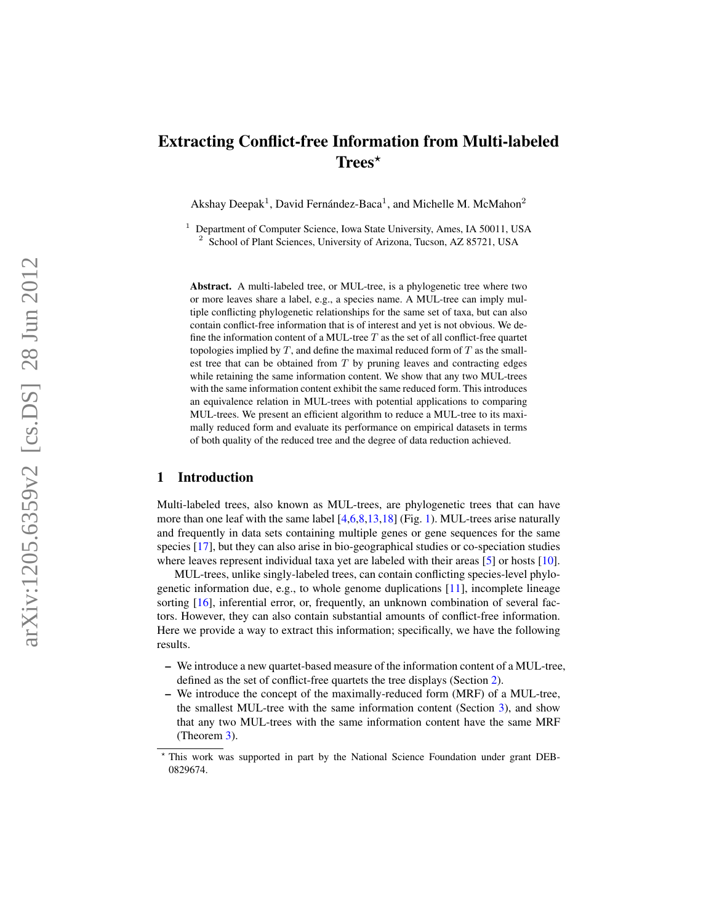# Extracting Conflict-free Information from Multi-labeled Trees\*

Akshay Deepak<sup>1</sup>, David Fernández-Baca<sup>1</sup>, and Michelle M. McMahon<sup>2</sup>

<sup>1</sup> Department of Computer Science, Iowa State University, Ames, IA 50011, USA <sup>2</sup> School of Plant Sciences, University of Arizona, Tucson, AZ 85721, USA

Abstract. A multi-labeled tree, or MUL-tree, is a phylogenetic tree where two or more leaves share a label, e.g., a species name. A MUL-tree can imply multiple conflicting phylogenetic relationships for the same set of taxa, but can also contain conflict-free information that is of interest and yet is not obvious. We define the information content of a MUL-tree  $T$  as the set of all conflict-free quartet topologies implied by  $T$ , and define the maximal reduced form of  $T$  as the smallest tree that can be obtained from  $T$  by pruning leaves and contracting edges while retaining the same information content. We show that any two MUL-trees with the same information content exhibit the same reduced form. This introduces an equivalence relation in MUL-trees with potential applications to comparing MUL-trees. We present an efficient algorithm to reduce a MUL-tree to its maximally reduced form and evaluate its performance on empirical datasets in terms of both quality of the reduced tree and the degree of data reduction achieved.

# 1 Introduction

Multi-labeled trees, also known as MUL-trees, are phylogenetic trees that can have more than one leaf with the same label [[4](#page-10-0),[6](#page-10-0),[8](#page-11-0)[,13](#page-11-0)[,18\]](#page-11-0) (Fig. [1\)](#page-1-0). MUL-trees arise naturally and frequently in data sets containing multiple genes or gene sequences for the same species [\[17\]](#page-11-0), but they can also arise in bio-geographical studies or co-speciation studies where leaves represent individual taxa yet are labeled with their areas [[5\]](#page-10-0) or hosts [\[10\]](#page-11-0).

MUL-trees, unlike singly-labeled trees, can contain conflicting species-level phylogenetic information due, e.g., to whole genome duplications [\[11\]](#page-11-0), incomplete lineage sorting [\[16\]](#page-11-0), inferential error, or, frequently, an unknown combination of several factors. However, they can also contain substantial amounts of conflict-free information. Here we provide a way to extract this information; specifically, we have the following results.

- We introduce a new quartet-based measure of the information content of a MUL-tree, defined as the set of conflict-free quartets the tree displays (Section [2\)](#page-3-0).
- We introduce the concept of the maximally-reduced form (MRF) of a MUL-tree, the smallest MUL-tree with the same information content (Section [3\)](#page-4-0), and show that any two MUL-trees with the same information content have the same MRF (Theorem [3\)](#page-4-0).

<sup>?</sup> This work was supported in part by the National Science Foundation under grant DEB-0829674.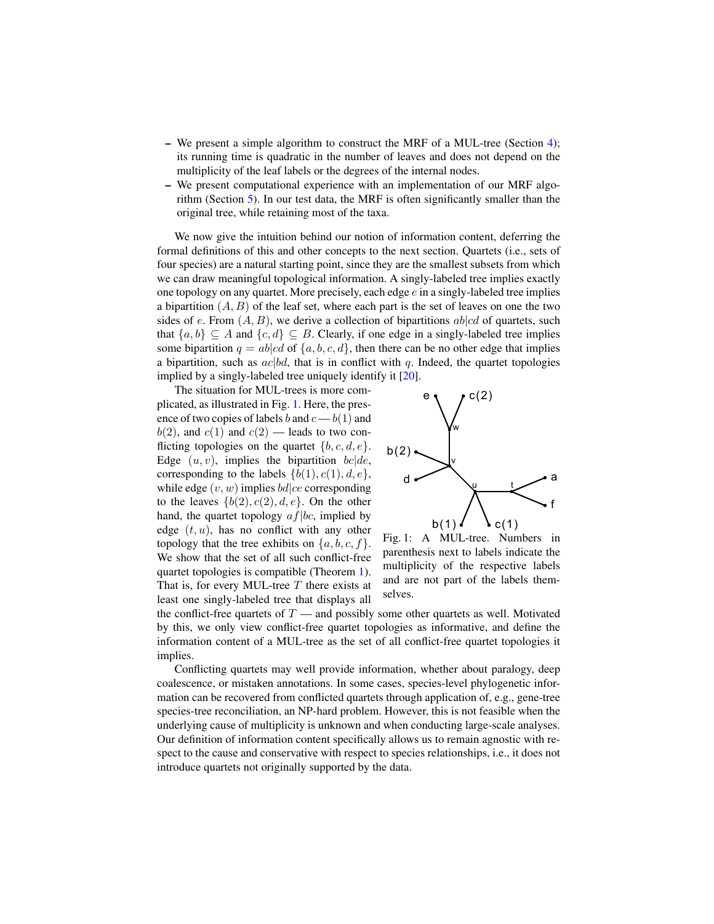- <span id="page-1-0"></span>– We present a simple algorithm to construct the MRF of a MUL-tree (Section [4\)](#page-5-0); its running time is quadratic in the number of leaves and does not depend on the multiplicity of the leaf labels or the degrees of the internal nodes.
- We present computational experience with an implementation of our MRF algorithm (Section [5\)](#page-8-0). In our test data, the MRF is often significantly smaller than the original tree, while retaining most of the taxa.

We now give the intuition behind our notion of information content, deferring the formal definitions of this and other concepts to the next section. Quartets (i.e., sets of four species) are a natural starting point, since they are the smallest subsets from which we can draw meaningful topological information. A singly-labeled tree implies exactly one topology on any quartet. More precisely, each edge  $e$  in a singly-labeled tree implies a bipartition  $(A, B)$  of the leaf set, where each part is the set of leaves on one the two sides of e. From  $(A, B)$ , we derive a collection of bipartitions ab|cd of quartets, such that  $\{a, b\} \subseteq A$  and  $\{c, d\} \subseteq B$ . Clearly, if one edge in a singly-labeled tree implies some bipartition  $q = ab | cd$  of  $\{a, b, c, d\}$ , then there can be no other edge that implies a bipartition, such as  $ac|bd$ , that is in conflict with q. Indeed, the quartet topologies implied by a singly-labeled tree uniquely identify it [\[20\]](#page-11-0).

The situation for MUL-trees is more complicated, as illustrated in Fig. 1. Here, the presence of two copies of labels b and  $c - b(1)$  and  $b(2)$ , and  $c(1)$  and  $c(2)$  — leads to two conflicting topologies on the quartet  $\{b, c, d, e\}$ . Edge  $(u, v)$ , implies the bipartition  $bc|de$ , corresponding to the labels  $\{b(1), c(1), d, e\}$ , while edge  $(v, w)$  implies  $bd|ce$  corresponding to the leaves  $\{b(2), c(2), d, e\}$ . On the other hand, the quartet topology  $af|bc$ , implied by edge  $(t, u)$ , has no conflict with any other topology that the tree exhibits on  $\{a, b, c, f\}.$ We show that the set of all such conflict-free quartet topologies is compatible (Theorem [1\)](#page-3-0). That is, for every MUL-tree  $T$  there exists at least one singly-labeled tree that displays all



Fig. 1: A MUL-tree. Numbers in parenthesis next to labels indicate the multiplicity of the respective labels and are not part of the labels themselves.

the conflict-free quartets of  $T$  — and possibly some other quartets as well. Motivated by this, we only view conflict-free quartet topologies as informative, and define the information content of a MUL-tree as the set of all conflict-free quartet topologies it implies.

Conflicting quartets may well provide information, whether about paralogy, deep coalescence, or mistaken annotations. In some cases, species-level phylogenetic information can be recovered from conflicted quartets through application of, e.g., gene-tree species-tree reconciliation, an NP-hard problem. However, this is not feasible when the underlying cause of multiplicity is unknown and when conducting large-scale analyses. Our definition of information content specifically allows us to remain agnostic with respect to the cause and conservative with respect to species relationships, i.e., it does not introduce quartets not originally supported by the data.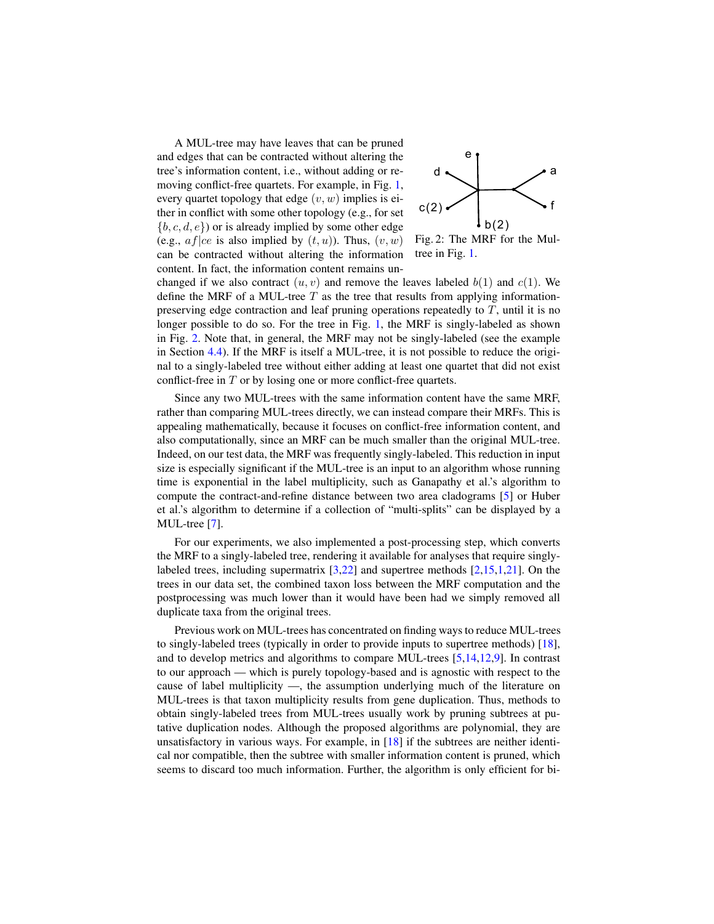A MUL-tree may have leaves that can be pruned and edges that can be contracted without altering the tree's information content, i.e., without adding or removing conflict-free quartets. For example, in Fig. [1,](#page-1-0) every quartet topology that edge  $(v, w)$  implies is either in conflict with some other topology (e.g., for set  ${b, c, d, e}$  or is already implied by some other edge (e.g.,  $af|ce$  is also implied by  $(t, u)$ ). Thus,  $(v, w)$ can be contracted without altering the information content. In fact, the information content remains un-



Fig. 2: The MRF for the Multree in Fig. [1.](#page-1-0)

changed if we also contract  $(u, v)$  and remove the leaves labeled  $b(1)$  and  $c(1)$ . We define the MRF of a MUL-tree  $T$  as the tree that results from applying informationpreserving edge contraction and leaf pruning operations repeatedly to  $T$ , until it is no longer possible to do so. For the tree in Fig. [1,](#page-1-0) the MRF is singly-labeled as shown in Fig. 2. Note that, in general, the MRF may not be singly-labeled (see the example in Section [4.4\)](#page-6-0). If the MRF is itself a MUL-tree, it is not possible to reduce the original to a singly-labeled tree without either adding at least one quartet that did not exist conflict-free in  $T$  or by losing one or more conflict-free quartets.

Since any two MUL-trees with the same information content have the same MRF, rather than comparing MUL-trees directly, we can instead compare their MRFs. This is appealing mathematically, because it focuses on conflict-free information content, and also computationally, since an MRF can be much smaller than the original MUL-tree. Indeed, on our test data, the MRF was frequently singly-labeled. This reduction in input size is especially significant if the MUL-tree is an input to an algorithm whose running time is exponential in the label multiplicity, such as Ganapathy et al.'s algorithm to compute the contract-and-refine distance between two area cladograms [\[5\]](#page-10-0) or Huber et al.'s algorithm to determine if a collection of "multi-splits" can be displayed by a MUL-tree [\[7\]](#page-11-0).

For our experiments, we also implemented a post-processing step, which converts the MRF to a singly-labeled tree, rendering it available for analyses that require singlylabeled trees, including supermatrix [\[3,](#page-10-0)[22\]](#page-11-0) and supertree methods [\[2](#page-10-0)[,15](#page-11-0)[,1](#page-10-0)[,21\]](#page-11-0). On the trees in our data set, the combined taxon loss between the MRF computation and the postprocessing was much lower than it would have been had we simply removed all duplicate taxa from the original trees.

Previous work on MUL-trees has concentrated on finding ways to reduce MUL-trees to singly-labeled trees (typically in order to provide inputs to supertree methods) [\[18\]](#page-11-0), and to develop metrics and algorithms to compare MUL-trees [\[5](#page-10-0)[,14,12,9\]](#page-11-0). In contrast to our approach — which is purely topology-based and is agnostic with respect to the cause of label multiplicity —, the assumption underlying much of the literature on MUL-trees is that taxon multiplicity results from gene duplication. Thus, methods to obtain singly-labeled trees from MUL-trees usually work by pruning subtrees at putative duplication nodes. Although the proposed algorithms are polynomial, they are unsatisfactory in various ways. For example, in  $[18]$  if the subtrees are neither identical nor compatible, then the subtree with smaller information content is pruned, which seems to discard too much information. Further, the algorithm is only efficient for bi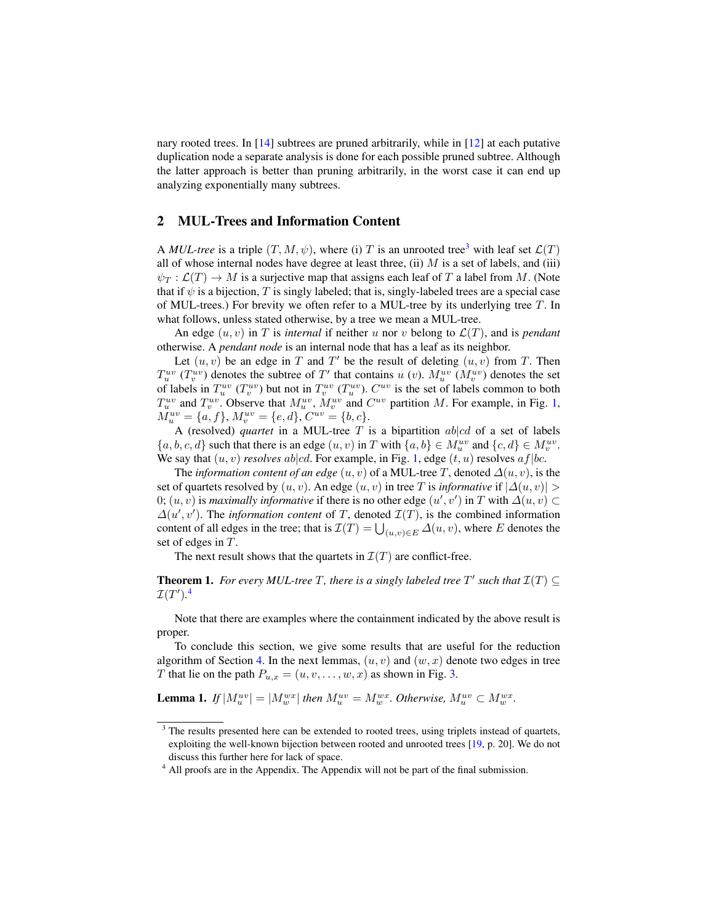<span id="page-3-0"></span>nary rooted trees. In [\[14\]](#page-11-0) subtrees are pruned arbitrarily, while in [\[12\]](#page-11-0) at each putative duplication node a separate analysis is done for each possible pruned subtree. Although the latter approach is better than pruning arbitrarily, in the worst case it can end up analyzing exponentially many subtrees.

# 2 MUL-Trees and Information Content

A *MUL-tree* is a triple  $(T, M, \psi)$ , where (i) T is an unrooted tree<sup>3</sup> with leaf set  $\mathcal{L}(T)$ all of whose internal nodes have degree at least three, (ii)  $M$  is a set of labels, and (iii)  $\psi_T : \mathcal{L}(T) \to M$  is a surjective map that assigns each leaf of T a label from M. (Note that if  $\psi$  is a bijection, T is singly labeled; that is, singly-labeled trees are a special case of MUL-trees.) For brevity we often refer to a MUL-tree by its underlying tree T. In what follows, unless stated otherwise, by a tree we mean a MUL-tree.

An edge  $(u, v)$  in T is *internal* if neither u nor v belong to  $\mathcal{L}(T)$ , and is *pendant* otherwise. A *pendant node* is an internal node that has a leaf as its neighbor.

Let  $(u, v)$  be an edge in T and T' be the result of deleting  $(u, v)$  from T. Then  $T_u^{uv}$  ( $T_v^{uv}$ ) denotes the subtree of T' that contains u (v).  $M_u^{uv}$  ( $M_v^{uv}$ ) denotes the set of labels in  $T_u^{uv}$  ( $T_v^{uv}$ ) but not in  $T_v^{uv}$  ( $T_u^{uv}$ ).  $C^{uv}$  is the set of labels common to both  $T_u^{uv}$  and  $T_v^{uv}$ . Observe that  $M_u^{uv}$ ,  $M_v^{uv}$  and  $C^{uv}$  partition M. For example, in Fig. [1,](#page-1-0)  $M_u^{uv} = \{a, f\}, M_v^{uv} = \{e, d\}, C^{uv} = \{b, c\}.$ 

A (resolved) *quartet* in a MUL-tree  $T$  is a bipartition  $ab|cd$  of a set of labels  ${a, b, c, d}$  such that there is an edge  $(u, v)$  in T with  ${a, b} \in M_u^{uv}$  and  ${c, d} \in M_v^{uv}$ . We say that  $(u, v)$  *resolves* ab|cd. For example, in Fig. [1,](#page-1-0) edge  $(t, u)$  resolves af|bc.

The *information content of an edge*  $(u, v)$  of a MUL-tree T, denoted  $\Delta(u, v)$ , is the set of quartets resolved by  $(u, v)$ . An edge  $(u, v)$  in tree T is *informative* if  $|\Delta(u, v)| >$ 0;  $(u, v)$  is *maximally informative* if there is no other edge  $(u', v')$  in T with  $\Delta(u, v) \subset$  $\Delta(u', v')$ . The *information content* of T, denoted  $\mathcal{I}(T)$ , is the combined information content of all edges in the tree; that is  $\mathcal{I}(T) = \bigcup_{(u,v)\in E} \Delta(u, v)$ , where E denotes the set of edges in T.

The next result shows that the quartets in  $\mathcal{I}(T)$  are conflict-free.

**Theorem 1.** For every MUL-tree T, there is a singly labeled tree T' such that  $\mathcal{I}(T) \subseteq$  $\mathcal{I}(T').^4$ 

Note that there are examples where the containment indicated by the above result is proper.

To conclude this section, we give some results that are useful for the reduction algorithm of Section [4.](#page-5-0) In the next lemmas,  $(u, v)$  and  $(w, x)$  denote two edges in tree T that lie on the path  $P_{u,x} = (u, v, \dots, w, x)$  as shown in Fig. [3.](#page-4-0)

**Lemma 1.** If 
$$
|M_u^{uv}| = |M_w^{wx}|
$$
 then  $M_u^{uv} = M_w^{wx}$ . Otherwise,  $M_u^{uv} \subset M_w^{wx}$ .

<sup>&</sup>lt;sup>3</sup> The results presented here can be extended to rooted trees, using triplets instead of quartets, exploiting the well-known bijection between rooted and unrooted trees [\[19,](#page-11-0) p. 20]. We do not discuss this further here for lack of space.

<sup>&</sup>lt;sup>4</sup> All proofs are in the Appendix. The Appendix will not be part of the final submission.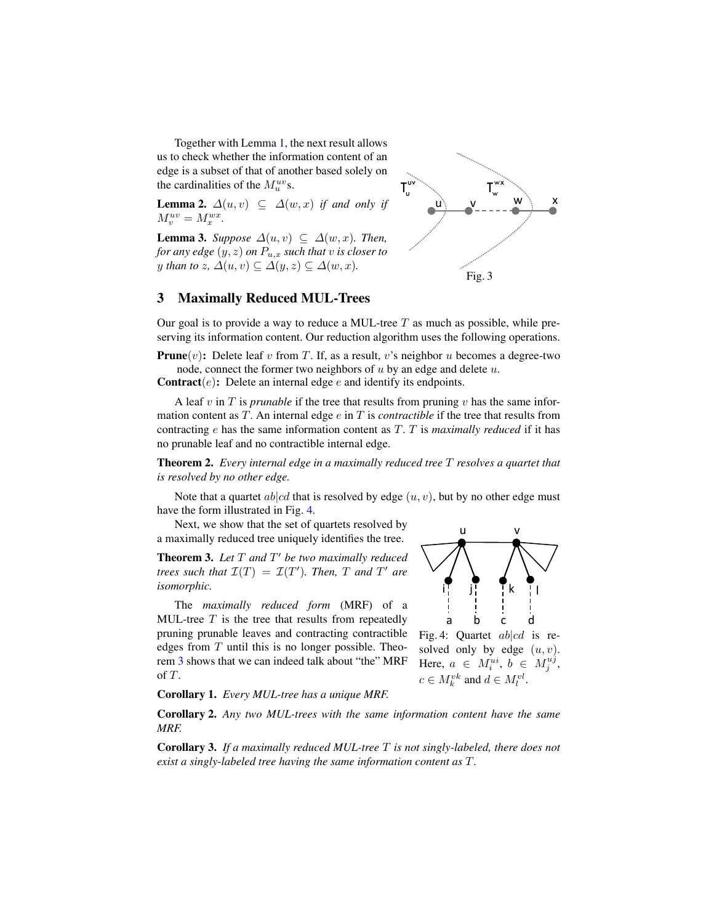<span id="page-4-0"></span>Together with Lemma [1,](#page-3-0) the next result allows us to check whether the information content of an edge is a subset of that of another based solely on the cardinalities of the  $M_u^{uv}$ s.

**Lemma 2.**  $\Delta(u, v) \subseteq \Delta(w, x)$  *if and only if*  $M_v^{uv} = M_x^{wx}.$ 

**Lemma 3.** *Suppose*  $\Delta(u, v) \subseteq \Delta(w, x)$ *. Then, for any edge*  $(y, z)$  *on*  $P_{u,x}$  *such that v is closer to y than to* z,  $\Delta(u, v) \subseteq \Delta(y, z) \subseteq \Delta(w, x)$ .



### 3 Maximally Reduced MUL-Trees

Our goal is to provide a way to reduce a MUL-tree  $T$  as much as possible, while preserving its information content. Our reduction algorithm uses the following operations.

**Prune** $(v)$ : Delete leaf v from T. If, as a result, v's neighbor u becomes a degree-two node, connect the former two neighbors of  $u$  by an edge and delete  $u$ .

**Contract**( $e$ ): Delete an internal edge  $e$  and identify its endpoints.

A leaf  $v$  in  $T$  is *prunable* if the tree that results from pruning  $v$  has the same information content as T. An internal edge e in T is *contractible* if the tree that results from contracting e has the same information content as T. T is *maximally reduced* if it has no prunable leaf and no contractible internal edge.

Theorem 2. *Every internal edge in a maximally reduced tree* T *resolves a quartet that is resolved by no other edge.*

Note that a quartet  $ab|cd$  that is resolved by edge  $(u, v)$ , but by no other edge must have the form illustrated in Fig. 4.

Next, we show that the set of quartets resolved by a maximally reduced tree uniquely identifies the tree.

**Theorem 3.** Let  $T$  and  $T'$  be two maximally reduced *trees such that*  $\mathcal{I}(T) = \mathcal{I}(T')$ *. Then, T and*  $T'$  *are isomorphic.*

The *maximally reduced form* (MRF) of a MUL-tree  $T$  is the tree that results from repeatedly pruning prunable leaves and contracting contractible edges from  $T$  until this is no longer possible. Theorem 3 shows that we can indeed talk about "the" MRF of T.



 $c \in M_k^{vk}$  and  $d \in M_l^{vl}$ .

Corollary 1. *Every MUL-tree has a unique MRF.*

Corollary 2. *Any two MUL-trees with the same information content have the same MRF.*

Corollary 3. *If a maximally reduced MUL-tree* T *is not singly-labeled, there does not exist a singly-labeled tree having the same information content as* T*.*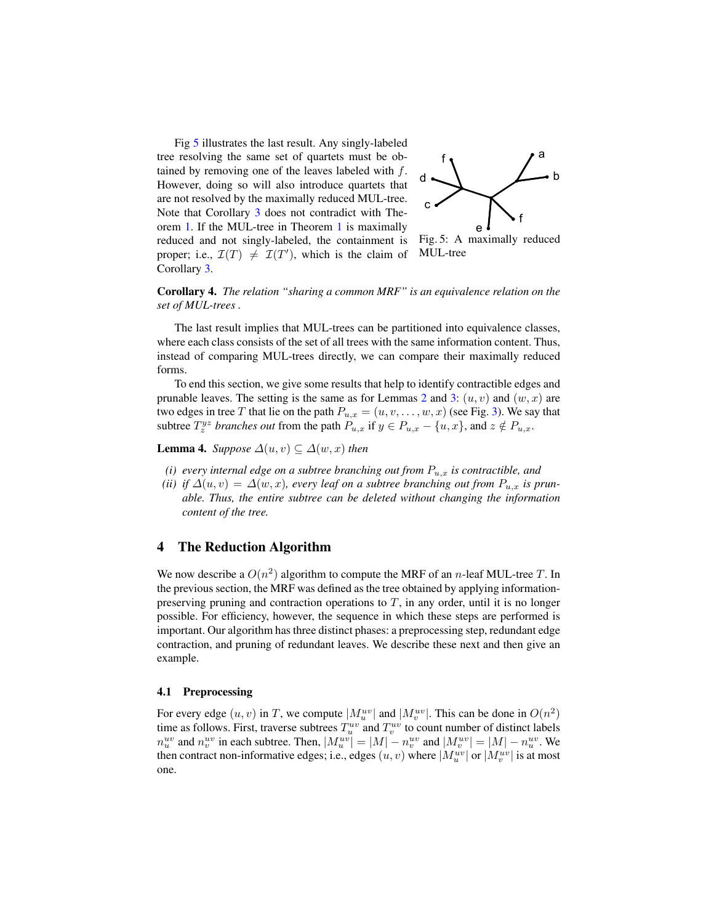<span id="page-5-0"></span>Fig 5 illustrates the last result. Any singly-labeled tree resolving the same set of quartets must be obtained by removing one of the leaves labeled with  $f$ . However, doing so will also introduce quartets that are not resolved by the maximally reduced MUL-tree. Note that Corollary [3](#page-4-0) does not contradict with Theorem [1.](#page-3-0) If the MUL-tree in Theorem [1](#page-3-0) is maximally reduced and not singly-labeled, the containment is proper; i.e.,  $\mathcal{I}(T) \neq \mathcal{I}(T')$ , which is the claim of Corollary [3.](#page-4-0)



Fig. 5: A maximally reduced MUL-tree

Corollary 4. *The relation "sharing a common MRF" is an equivalence relation on the set of MUL-trees .*

The last result implies that MUL-trees can be partitioned into equivalence classes, where each class consists of the set of all trees with the same information content. Thus, instead of comparing MUL-trees directly, we can compare their maximally reduced forms.

To end this section, we give some results that help to identify contractible edges and prunable leaves. The setting is the same as for Lemmas [2](#page-4-0) and [3:](#page-4-0)  $(u, v)$  and  $(w, x)$  are two edges in tree T that lie on the path  $P_{u,x} = (u, v, \dots, w, x)$  (see Fig. [3\)](#page-4-0). We say that subtree  $T_z^{yz}$  *branches out* from the path  $P_{u,x}$  if  $y \in P_{u,x} - \{u, x\}$ , and  $z \notin P_{u,x}$ .

**Lemma 4.** *Suppose*  $\Delta(u, v) \subseteq \Delta(w, x)$  *then* 

- *(i) every internal edge on a subtree branching out from*  $P_{u,x}$  *is contractible, and*
- (*ii*) *if*  $\Delta(u, v) = \Delta(w, x)$ , every leaf on a subtree branching out from  $P_{u,x}$  is prun*able. Thus, the entire subtree can be deleted without changing the information content of the tree.*

## 4 The Reduction Algorithm

We now describe a  $O(n^2)$  algorithm to compute the MRF of an n-leaf MUL-tree T. In the previous section, the MRF was defined as the tree obtained by applying informationpreserving pruning and contraction operations to  $T$ , in any order, until it is no longer possible. For efficiency, however, the sequence in which these steps are performed is important. Our algorithm has three distinct phases: a preprocessing step, redundant edge contraction, and pruning of redundant leaves. We describe these next and then give an example.

### 4.1 Preprocessing

For every edge  $(u, v)$  in T, we compute  $|M_u^{uv}|$  and  $|M_v^{uv}|$ . This can be done in  $O(n^2)$ time as follows. First, traverse subtrees  $T_u^{uv}$  and  $T_v^{uv}$  to count number of distinct labels  $n_u^{uv}$  and  $n_v^{uv}$  in each subtree. Then,  $|M_u^{uv}| = |M| - n_v^{uv}$  and  $|M_v^{uv}| = |M| - n_u^{uv}$ . We then contract non-informative edges; i.e., edges  $(u, v)$  where  $|M_u^{uv}|$  or  $|M_v^{uv}|$  is at most one.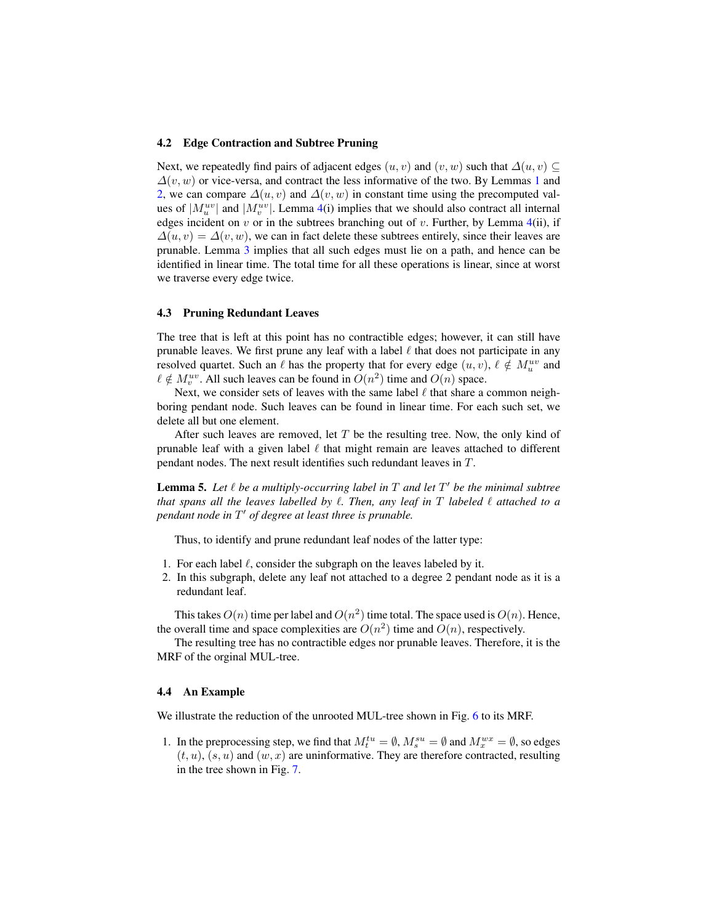#### <span id="page-6-0"></span>4.2 Edge Contraction and Subtree Pruning

Next, we repeatedly find pairs of adjacent edges  $(u, v)$  and  $(v, w)$  such that  $\Delta(u, v) \subseteq$  $\Delta(v, w)$  or vice-versa, and contract the less informative of the two. By Lemmas [1](#page-3-0) and [2,](#page-4-0) we can compare  $\Delta(u, v)$  and  $\Delta(v, w)$  in constant time using the precomputed values of  $|M_u^{uv}|$  and  $|M_v^{uv}|$ . Lemma [4\(](#page-5-0)i) implies that we should also contract all internal edges incident on v or in the subtrees branching out of v. Further, by Lemma [4\(](#page-5-0)ii), if  $\Delta(u, v) = \Delta(v, w)$ , we can in fact delete these subtrees entirely, since their leaves are prunable. Lemma [3](#page-4-0) implies that all such edges must lie on a path, and hence can be identified in linear time. The total time for all these operations is linear, since at worst we traverse every edge twice.

#### 4.3 Pruning Redundant Leaves

The tree that is left at this point has no contractible edges; however, it can still have prunable leaves. We first prune any leaf with a label  $\ell$  that does not participate in any resolved quartet. Such an  $\ell$  has the property that for every edge  $(u, v)$ ,  $\ell \notin M_u^{uv}$  and  $\ell \notin M_v^{uv}$ . All such leaves can be found in  $O(n^2)$  time and  $O(n)$  space.

Next, we consider sets of leaves with the same label  $\ell$  that share a common neighboring pendant node. Such leaves can be found in linear time. For each such set, we delete all but one element.

After such leaves are removed, let  $T$  be the resulting tree. Now, the only kind of prunable leaf with a given label  $\ell$  that might remain are leaves attached to different pendant nodes. The next result identifies such redundant leaves in T.

**Lemma 5.** Let  $\ell$  be a multiply-occurring label in  $T$  and let  $T'$  be the minimal subtree *that spans all the leaves labelled by*  $\ell$ *. Then, any leaf in*  $T$  *labeled*  $\ell$  *attached to a pendant node in* T <sup>0</sup> *of degree at least three is prunable.*

Thus, to identify and prune redundant leaf nodes of the latter type:

- 1. For each label  $\ell$ , consider the subgraph on the leaves labeled by it.
- 2. In this subgraph, delete any leaf not attached to a degree 2 pendant node as it is a redundant leaf.

This takes  $O(n)$  time per label and  $O(n^2)$  time total. The space used is  $O(n)$ . Hence, the overall time and space complexities are  $O(n^2)$  time and  $O(n)$ , respectively.

The resulting tree has no contractible edges nor prunable leaves. Therefore, it is the MRF of the orginal MUL-tree.

#### 4.4 An Example

We illustrate the reduction of the unrooted MUL-tree shown in Fig. [6](#page-7-0) to its MRF.

1. In the preprocessing step, we find that  $M_t^{tu} = \emptyset$ ,  $M_s^{su} = \emptyset$  and  $M_x^{wx} = \emptyset$ , so edges  $(t, u)$ ,  $(s, u)$  and  $(w, x)$  are uninformative. They are therefore contracted, resulting in the tree shown in Fig. [7.](#page-7-0)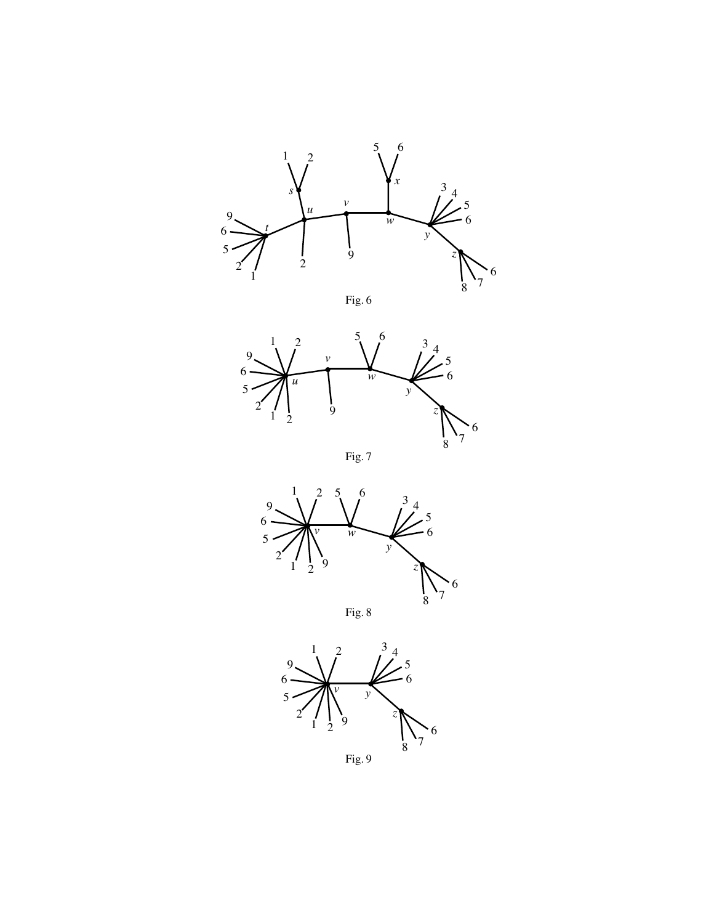<span id="page-7-0"></span>









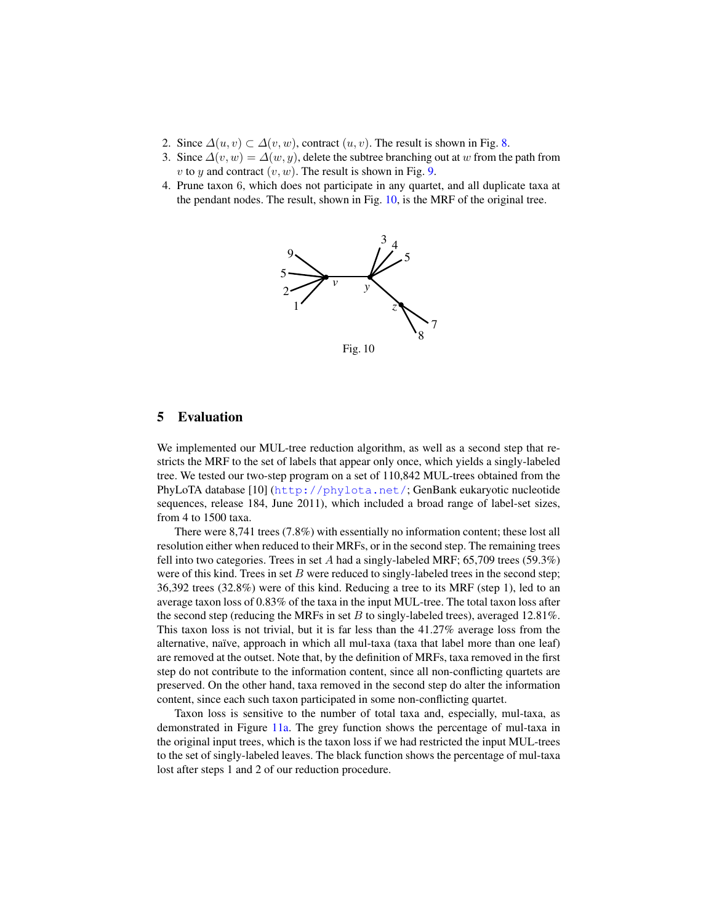- <span id="page-8-0"></span>2. Since  $\Delta(u, v) \subset \Delta(v, w)$ , contract  $(u, v)$ . The result is shown in Fig. [8.](#page-7-0)
- 3. Since  $\Delta(v, w) = \Delta(w, y)$ , delete the subtree branching out at w from the path from v to y and contract  $(v, w)$ . The result is shown in Fig. [9.](#page-7-0)
- 4. Prune taxon 6, which does not participate in any quartet, and all duplicate taxa at the pendant nodes. The result, shown in Fig. 10, is the MRF of the original tree.



# 5 Evaluation

Tuesday, May 22, 2012 We implemented our MUL-tree reduction algorithm, as well as a second step that restricts the MRF to the set of labels that appear only once, which yields a singly-labeled tree. We tested our two-step program on a set of 110,842 MUL-trees obtained from the PhyLoTA database [10] (<http://phylota.net/>; GenBank eukaryotic nucleotide sequences, release 184, June 2011), which included a broad range of label-set sizes, from 4 to 1500 taxa.

> There were 8,741 trees (7.8%) with essentially no information content; these lost all resolution either when reduced to their MRFs, or in the second step. The remaining trees fell into two categories. Trees in set A had a singly-labeled MRF;  $65,709$  trees (59.3%) were of this kind. Trees in set  $B$  were reduced to singly-labeled trees in the second step; 36,392 trees (32.8%) were of this kind. Reducing a tree to its MRF (step 1), led to an average taxon loss of 0.83% of the taxa in the input MUL-tree. The total taxon loss after the second step (reducing the MRFs in set B to singly-labeled trees), averaged 12.81%. This taxon loss is not trivial, but it is far less than the 41.27% average loss from the alternative, naïve, approach in which all mul-taxa (taxa that label more than one leaf) are removed at the outset. Note that, by the definition of MRFs, taxa removed in the first step do not contribute to the information content, since all non-conflicting quartets are preserved. On the other hand, taxa removed in the second step do alter the information content, since each such taxon participated in some non-conflicting quartet.

> Taxon loss is sensitive to the number of total taxa and, especially, mul-taxa, as demonstrated in Figure [11a.](#page-9-0) The grey function shows the percentage of mul-taxa in the original input trees, which is the taxon loss if we had restricted the input MUL-trees to the set of singly-labeled leaves. The black function shows the percentage of mul-taxa lost after steps 1 and 2 of our reduction procedure.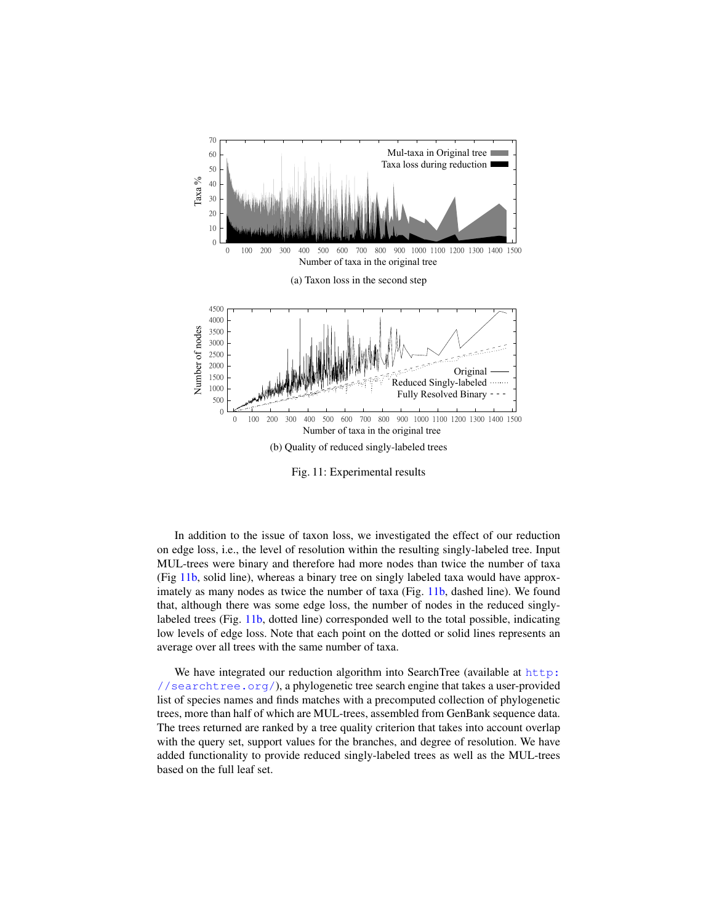<span id="page-9-0"></span>

Fig. 11: Experimental results

In addition to the issue of taxon loss, we investigated the effect of our reduction on edge loss, i.e., the level of resolution within the resulting singly-labeled tree. Input MUL-trees were binary and therefore had more nodes than twice the number of taxa (Fig 11b, solid line), whereas a binary tree on singly labeled taxa would have approximately as many nodes as twice the number of taxa (Fig. 11b, dashed line). We found that, although there was some edge loss, the number of nodes in the reduced singlylabeled trees (Fig. 11b, dotted line) corresponded well to the total possible, indicating low levels of edge loss. Note that each point on the dotted or solid lines represents an average over all trees with the same number of taxa.

We have integrated our reduction algorithm into SearchTree (available at [http:](http://searchtree.org/) [//searchtree.org/](http://searchtree.org/)), a phylogenetic tree search engine that takes a user-provided list of species names and finds matches with a precomputed collection of phylogenetic trees, more than half of which are MUL-trees, assembled from GenBank sequence data. The trees returned are ranked by a tree quality criterion that takes into account overlap with the query set, support values for the branches, and degree of resolution. We have added functionality to provide reduced singly-labeled trees as well as the MUL-trees based on the full leaf set.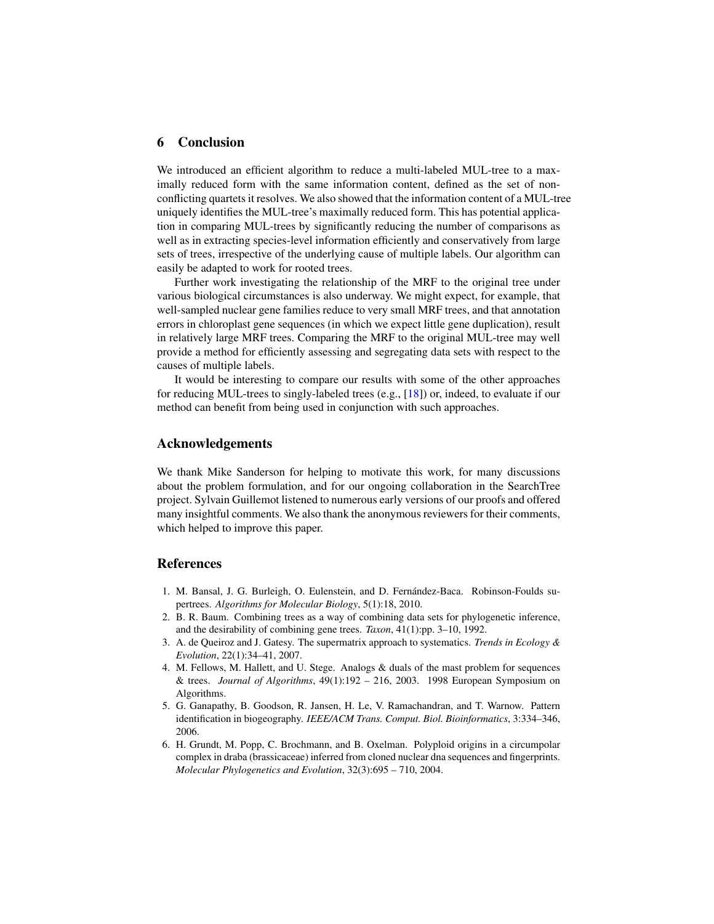# <span id="page-10-0"></span>6 Conclusion

We introduced an efficient algorithm to reduce a multi-labeled MUL-tree to a maximally reduced form with the same information content, defined as the set of nonconflicting quartets it resolves. We also showed that the information content of a MUL-tree uniquely identifies the MUL-tree's maximally reduced form. This has potential application in comparing MUL-trees by significantly reducing the number of comparisons as well as in extracting species-level information efficiently and conservatively from large sets of trees, irrespective of the underlying cause of multiple labels. Our algorithm can easily be adapted to work for rooted trees.

Further work investigating the relationship of the MRF to the original tree under various biological circumstances is also underway. We might expect, for example, that well-sampled nuclear gene families reduce to very small MRF trees, and that annotation errors in chloroplast gene sequences (in which we expect little gene duplication), result in relatively large MRF trees. Comparing the MRF to the original MUL-tree may well provide a method for efficiently assessing and segregating data sets with respect to the causes of multiple labels.

It would be interesting to compare our results with some of the other approaches for reducing MUL-trees to singly-labeled trees (e.g., [\[18\]](#page-11-0)) or, indeed, to evaluate if our method can benefit from being used in conjunction with such approaches.

### Acknowledgements

We thank Mike Sanderson for helping to motivate this work, for many discussions about the problem formulation, and for our ongoing collaboration in the SearchTree project. Sylvain Guillemot listened to numerous early versions of our proofs and offered many insightful comments. We also thank the anonymous reviewers for their comments, which helped to improve this paper.

## References

- 1. M. Bansal, J. G. Burleigh, O. Eulenstein, and D. Fernández-Baca. Robinson-Foulds supertrees. *Algorithms for Molecular Biology*, 5(1):18, 2010.
- 2. B. R. Baum. Combining trees as a way of combining data sets for phylogenetic inference, and the desirability of combining gene trees. *Taxon*, 41(1):pp. 3–10, 1992.
- 3. A. de Queiroz and J. Gatesy. The supermatrix approach to systematics. *Trends in Ecology & Evolution*, 22(1):34–41, 2007.
- 4. M. Fellows, M. Hallett, and U. Stege. Analogs & duals of the mast problem for sequences & trees. *Journal of Algorithms*, 49(1):192 – 216, 2003. 1998 European Symposium on Algorithms.
- 5. G. Ganapathy, B. Goodson, R. Jansen, H. Le, V. Ramachandran, and T. Warnow. Pattern identification in biogeography. *IEEE/ACM Trans. Comput. Biol. Bioinformatics*, 3:334–346, 2006.
- 6. H. Grundt, M. Popp, C. Brochmann, and B. Oxelman. Polyploid origins in a circumpolar complex in draba (brassicaceae) inferred from cloned nuclear dna sequences and fingerprints. *Molecular Phylogenetics and Evolution*, 32(3):695 – 710, 2004.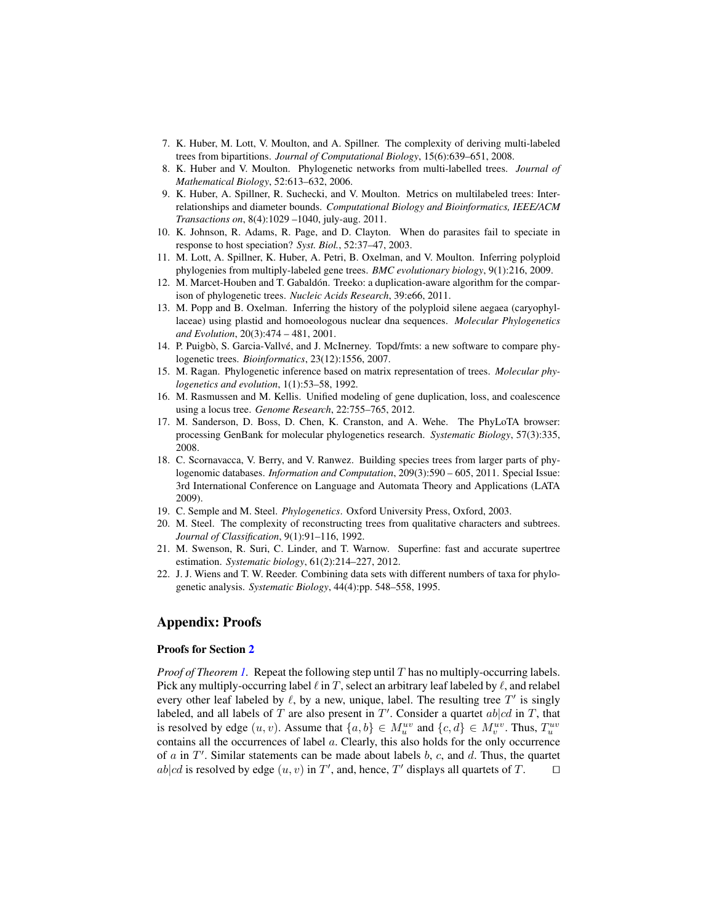- <span id="page-11-0"></span>7. K. Huber, M. Lott, V. Moulton, and A. Spillner. The complexity of deriving multi-labeled trees from bipartitions. *Journal of Computational Biology*, 15(6):639–651, 2008.
- 8. K. Huber and V. Moulton. Phylogenetic networks from multi-labelled trees. *Journal of Mathematical Biology*, 52:613–632, 2006.
- 9. K. Huber, A. Spillner, R. Suchecki, and V. Moulton. Metrics on multilabeled trees: Interrelationships and diameter bounds. *Computational Biology and Bioinformatics, IEEE/ACM Transactions on*, 8(4):1029 –1040, july-aug. 2011.
- 10. K. Johnson, R. Adams, R. Page, and D. Clayton. When do parasites fail to speciate in response to host speciation? *Syst. Biol.*, 52:37–47, 2003.
- 11. M. Lott, A. Spillner, K. Huber, A. Petri, B. Oxelman, and V. Moulton. Inferring polyploid phylogenies from multiply-labeled gene trees. *BMC evolutionary biology*, 9(1):216, 2009.
- 12. M. Marcet-Houben and T. Gabaldón. Treeko: a duplication-aware algorithm for the comparison of phylogenetic trees. *Nucleic Acids Research*, 39:e66, 2011.
- 13. M. Popp and B. Oxelman. Inferring the history of the polyploid silene aegaea (caryophyllaceae) using plastid and homoeologous nuclear dna sequences. *Molecular Phylogenetics and Evolution*, 20(3):474 – 481, 2001.
- 14. P. Puigbò, S. Garcia-Vallvé, and J. McInerney. Topd/fmts: a new software to compare phylogenetic trees. *Bioinformatics*, 23(12):1556, 2007.
- 15. M. Ragan. Phylogenetic inference based on matrix representation of trees. *Molecular phylogenetics and evolution*, 1(1):53–58, 1992.
- 16. M. Rasmussen and M. Kellis. Unified modeling of gene duplication, loss, and coalescence using a locus tree. *Genome Research*, 22:755–765, 2012.
- 17. M. Sanderson, D. Boss, D. Chen, K. Cranston, and A. Wehe. The PhyLoTA browser: processing GenBank for molecular phylogenetics research. *Systematic Biology*, 57(3):335, 2008.
- 18. C. Scornavacca, V. Berry, and V. Ranwez. Building species trees from larger parts of phylogenomic databases. *Information and Computation*, 209(3):590 – 605, 2011. Special Issue: 3rd International Conference on Language and Automata Theory and Applications (LATA 2009).
- 19. C. Semple and M. Steel. *Phylogenetics*. Oxford University Press, Oxford, 2003.
- 20. M. Steel. The complexity of reconstructing trees from qualitative characters and subtrees. *Journal of Classification*, 9(1):91–116, 1992.
- 21. M. Swenson, R. Suri, C. Linder, and T. Warnow. Superfine: fast and accurate supertree estimation. *Systematic biology*, 61(2):214–227, 2012.
- 22. J. J. Wiens and T. W. Reeder. Combining data sets with different numbers of taxa for phylogenetic analysis. *Systematic Biology*, 44(4):pp. 548–558, 1995.

# Appendix: Proofs

#### Proofs for Section [2](#page-3-0)

*Proof of Theorem [1.](#page-3-0)* Repeat the following step until T has no multiply-occurring labels. Pick any multiply-occurring label  $\ell$  in T, select an arbitrary leaf labeled by  $\ell$ , and relabel every other leaf labeled by  $\ell$ , by a new, unique, label. The resulting tree  $T'$  is singly labeled, and all labels of T are also present in  $T'$ . Consider a quartet  $ab|cd$  in T, that is resolved by edge  $(u, v)$ . Assume that  $\{a, b\} \in M_u^{uv}$  and  $\{c, d\} \in M_v^{uv}$ . Thus,  $T_u^{uv}$ contains all the occurrences of label a. Clearly, this also holds for the only occurrence of  $a$  in  $T'$ . Similar statements can be made about labels  $b$ ,  $c$ , and  $d$ . Thus, the quartet  $ab|cd$  is resolved by edge  $(u, v)$  in  $T'$ , and, hence,  $T'$  displays all quartets of  $T$ .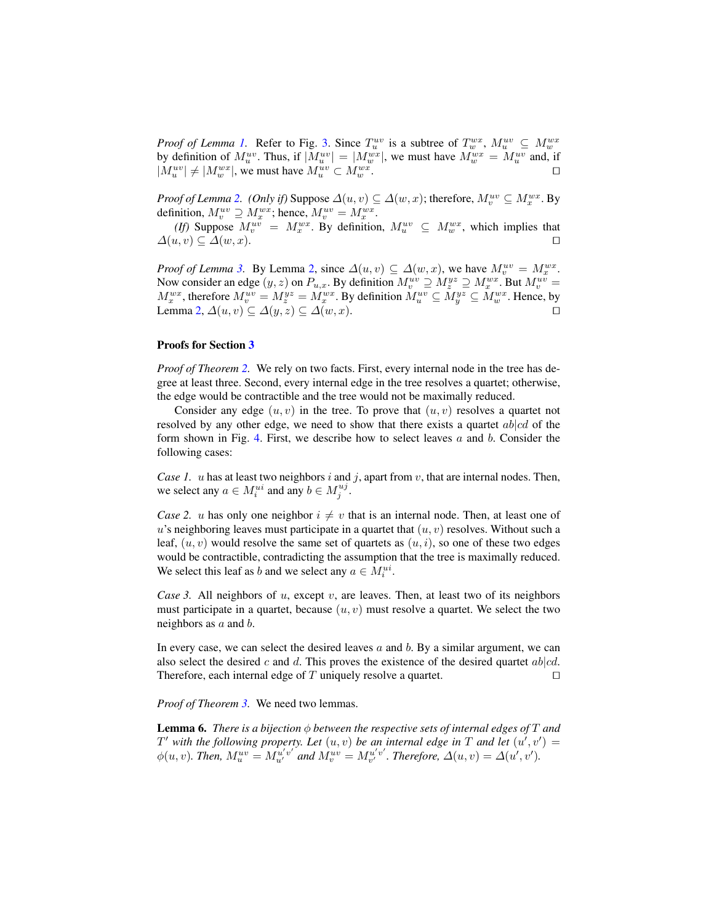<span id="page-12-0"></span>*Proof of Lemma [1.](#page-3-0)* Refer to Fig. [3.](#page-4-0) Since  $T_u^{uv}$  is a subtree of  $T_w^{wx}$ ,  $M_u^{uv} \subseteq M_w^{wx}$ by definition of  $M_u^{uv}$ . Thus, if  $|M_u^{uv}| = |M_w^{wx}|$ , we must have  $M_w^{wx} = M_u^{uv}$  and, if  $|M_u^{uv}| \neq |M_w^{wx}|$ , we must have  $M_u^{uv} \subset M_w^{wx}$ .

*Proof of Lemma [2.](#page-4-0) (Only if)* Suppose  $\Delta(u, v) \subseteq \Delta(w, x)$ ; therefore,  $M_v^{uv} \subseteq M_x^{wx}$ . By definition,  $M_v^{uv} \supseteq M_x^{wx}$ ; hence,  $M_v^{uv} = M_x^{wx}$ .

(*If)* Suppose  $M_v^{uv} = M_x^{wx}$ . By definition,  $M_u^{uv} \subseteq M_w^{wx}$ , which implies that  $\Delta(u, v) \subseteq \Delta(w, x).$ 

*Proof of Lemma* [3.](#page-4-0) By Lemma [2,](#page-4-0) since  $\Delta(u, v) \subseteq \Delta(w, x)$ , we have  $M_v^{uv} = M_x^{wx}$ . Now consider an edge  $(y, z)$  on  $P_{u,x}$ . By definition  $M_v^{uv} \supseteq M_z^{uz} \supseteq M_x^{uv}$ . But  $M_v^{uv} =$  $M_x^{wx}$ , therefore  $M_v^{uv} = M_z^{yz} = M_x^{wx}$ . By definition  $M_u^{uv} \subseteq M_y^{yz} \subseteq M_w^{wx}$ . Hence, by Lemma [2,](#page-4-0)  $\Delta(u, v) \subseteq \Delta(y, z) \subseteq \Delta(w, x)$ .

## Proofs for Section [3](#page-4-0)

*Proof of Theorem [2.](#page-4-0)* We rely on two facts. First, every internal node in the tree has degree at least three. Second, every internal edge in the tree resolves a quartet; otherwise, the edge would be contractible and the tree would not be maximally reduced.

Consider any edge  $(u, v)$  in the tree. To prove that  $(u, v)$  resolves a quartet not resolved by any other edge, we need to show that there exists a quartet  $ab|cd$  of the form shown in Fig. [4.](#page-4-0) First, we describe how to select leaves  $a$  and  $b$ . Consider the following cases:

*Case 1.* u has at least two neighbors i and j, apart from v, that are internal nodes. Then, we select any  $a \in M_i^{ui}$  and any  $b \in M_j^{uj}$ .

*Case 2. u* has only one neighbor  $i \neq v$  that is an internal node. Then, at least one of u's neighboring leaves must participate in a quartet that  $(u, v)$  resolves. Without such a leaf,  $(u, v)$  would resolve the same set of quartets as  $(u, i)$ , so one of these two edges would be contractible, contradicting the assumption that the tree is maximally reduced. We select this leaf as b and we select any  $a \in M_i^{ui}$ .

*Case 3.* All neighbors of  $u$ , except  $v$ , are leaves. Then, at least two of its neighbors must participate in a quartet, because  $(u, v)$  must resolve a quartet. We select the two neighbors as  $a$  and  $b$ .

In every case, we can select the desired leaves  $a$  and  $b$ . By a similar argument, we can also select the desired c and d. This proves the existence of the desired quartet ab|cd. Therefore, each internal edge of T uniquely resolve a quartet.  $\Box$ 

*Proof of Theorem [3.](#page-4-0)* We need two lemmas.

**Lemma 6.** *There is a bijection*  $\phi$  *between the respective sets of internal edges of*  $T$  *and*  $T'$  with the following property. Let  $(u, v)$  be an internal edge in T and let  $(u', v') =$  $\phi(u, v)$ . Then,  $M_u^{uv} = M_{u'}^{u'v'}$  and  $M_v^{uv} = M_{v'}^{u'v'}$ . Therefore,  $\Delta(u, v) = \Delta(u', v')$ .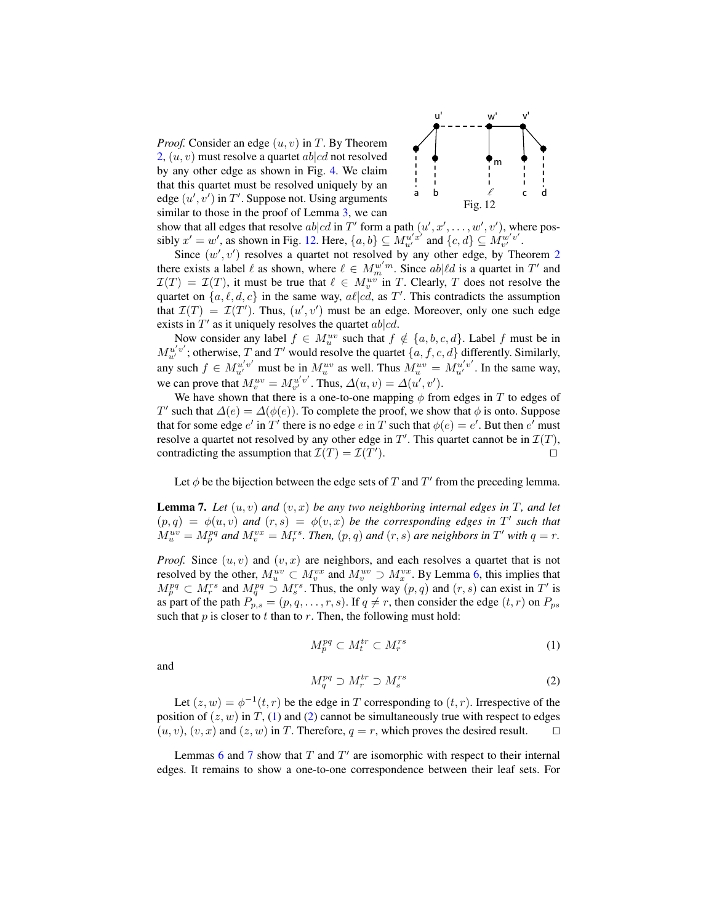*Proof.* Consider an edge  $(u, v)$  in T. By Theorem [2,](#page-4-0)  $(u, v)$  must resolve a quartet ab  $|cd|$  not resolved by any other edge as shown in Fig. [4.](#page-4-0) We claim that this quartet must be resolved uniquely by an edge  $(u', v')$  in T'. Suppose not. Using arguments similar to those in the proof of Lemma [3,](#page-4-0) we can



show that all edges that resolve  $ab|cd$  in  $T'$  form a path  $(u', x', \ldots, w', v')$ , where possibly  $x' = w'$ , as shown in Fig. 12. Here,  $\{a, b\} \subseteq M_{u'}^{u'x'}$  and  $\{c, d\} \subseteq M_{v'}^{w'v'}$ .

Since  $(w', v')$  resolves a quartet not resolved by any other edge, by Theorem [2](#page-4-0) there exists a label  $\ell$  as shown, where  $\ell \in M_m^{w'm}$ . Since  $ab|\ell d$  is a quartet in T' and  $\mathcal{I}(T) = \mathcal{I}(T)$ , it must be true that  $\ell \in M_v^{uv}$  in T. Clearly, T does not resolve the quartet on  $\{a, \ell, d, c\}$  in the same way,  $a\ell | cd$ , as T'. This contradicts the assumption that  $\mathcal{I}(T) = \mathcal{I}(T')$ . Thus,  $(u', v')$  must be an edge. Moreover, only one such edge exists in  $T'$  as it uniquely resolves the quartet  $ab|cd$ .

Now consider any label  $f \in M_u^{uv}$  such that  $f \notin \{a, b, c, d\}$ . Label f must be in  $M_{u'}^{u'v'}$ ; otherwise, T and T' would resolve the quartet  $\{a, f, c, d\}$  differently. Similarly, any such  $f \in M_{u'}^{u'v'}$  must be in  $M_u^{uv}$  as well. Thus  $M_u^{uv} = M_{u'}^{u'v'}$ . In the same way, we can prove that  $M_v^{uv} = M_{v'}^{u'v'}$ . Thus,  $\Delta(u, v) = \Delta(u', v')$ .

We have shown that there is a one-to-one mapping  $\phi$  from edges in T to edges of T' such that  $\Delta(e) = \Delta(\phi(e))$ . To complete the proof, we show that  $\phi$  is onto. Suppose that for some edge  $e'$  in  $T'$  there is no edge  $e$  in  $T$  such that  $\phi(e) = e'$ . But then  $e'$  must resolve a quartet not resolved by any other edge in  $T'$ . This quartet cannot be in  $\mathcal{I}(T)$ , contradicting the assumption that  $\mathcal{I}(T) = \mathcal{I}(T')$ ).  $\qquad \qquad \Box$ 

Let  $\phi$  be the bijection between the edge sets of T and T' from the preceding lemma.

**Lemma 7.** Let  $(u, v)$  and  $(v, x)$  be any two neighboring internal edges in T, and let  $(p,q) = \phi(u,v)$  and  $(r,s) = \phi(v,x)$  be the corresponding edges in T' such that  $M_u^{uv} = M_p^{pq}$  and  $M_v^{vx} = M_r^{rs}$ . Then,  $(p, q)$  and  $(r, s)$  are neighbors in  $T'$  with  $q = r$ .

*Proof.* Since  $(u, v)$  and  $(v, x)$  are neighbors, and each resolves a quartet that is not resolved by the other,  $M_u^{uv} \subset M_v^{vx}$  and  $M_v^{uv} \supset M_x^{vx}$ . By Lemma [6,](#page-12-0) this implies that  $M_p^{pq} \subset M_r^{rs}$  and  $M_q^{pq} \supset M_s^{rs}$ . Thus, the only way  $(p, q)$  and  $(r, s)$  can exist in  $T'$  is as part of the path  $P_{p,s} = (p, q, \ldots, r, s)$ . If  $q \neq r$ , then consider the edge  $(t, r)$  on  $P_{ps}$ such that  $p$  is closer to  $t$  than to  $r$ . Then, the following must hold:

$$
M_p^{pq} \subset M_t^{tr} \subset M_r^{rs} \tag{1}
$$

and

$$
M_q^{pq} \supset M_r^{tr} \supset M_s^{rs} \tag{2}
$$

Let  $(z, w) = \phi^{-1}(t, r)$  be the edge in T corresponding to  $(t, r)$ . Irrespective of the position of  $(z, w)$  in T, (1) and (2) cannot be simultaneously true with respect to edges  $(u, v), (v, x)$  and  $(z, w)$  in T. Therefore,  $q = r$ , which proves the desired result.  $\square$ 

Lemmas  $6$  and  $7$  show that  $T$  and  $T'$  are isomorphic with respect to their internal edges. It remains to show a one-to-one correspondence between their leaf sets. For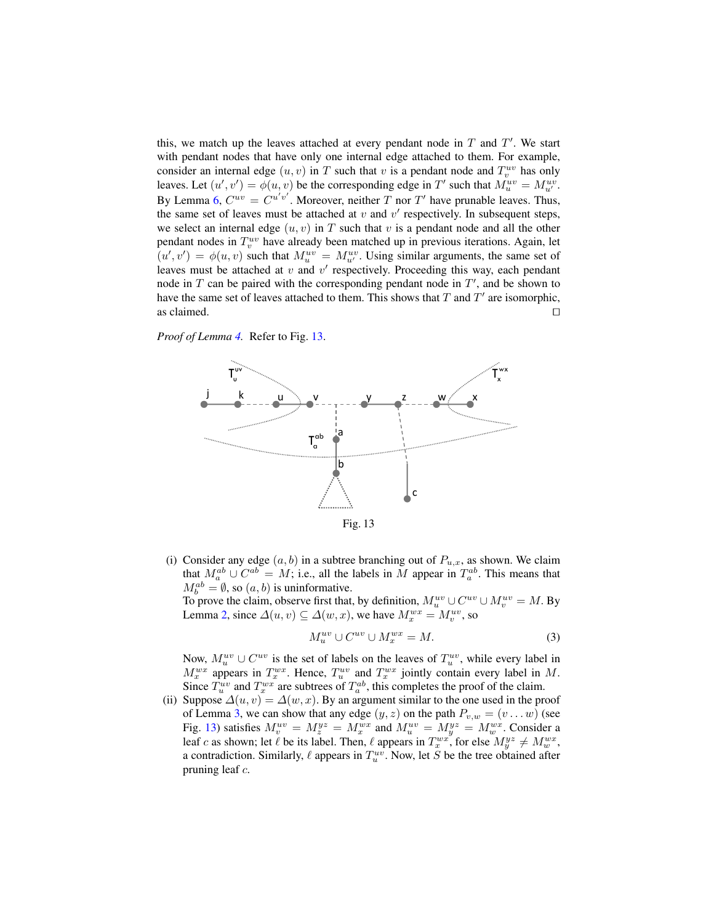this, we match up the leaves attached at every pendant node in  $T$  and  $T'$ . We start with pendant nodes that have only one internal edge attached to them. For example, consider an internal edge  $(u, v)$  in T such that v is a pendant node and  $T_v^{uv}$  has only leaves. Let  $(u', v') = \phi(u, v)$  be the corresponding edge in T' such that  $M_u^{uv} = M_{u'}^{uv}$ . By Lemma [6,](#page-12-0)  $C^{uv} = C^{u'v'}$ . Moreover, neither T nor T' have prunable leaves. Thus, the same set of leaves must be attached at  $v$  and  $v'$  respectively. In subsequent steps, we select an internal edge  $(u, v)$  in T such that v is a pendant node and all the other pendant nodes in  $T_v^{uv}$  have already been matched up in previous iterations. Again, let  $(u', v') = \phi(u, v)$  such that  $M_u^{uv} = M_{u'}^{uv}$ . Using similar arguments, the same set of leaves must be attached at  $v$  and  $v'$  respectively. Proceeding this way, each pendant node in  $T$  can be paired with the corresponding pendant node in  $T'$ , and be shown to have the same set of leaves attached to them. This shows that  $T$  and  $T'$  are isomorphic, as claimed.  $\Box$ 

*Proof of Lemma [4.](#page-5-0)* Refer to Fig. 13.



(i) Consider any edge  $(a, b)$  in a subtree branching out of  $P_{u,x}$ , as shown. We claim that  $M_a^{ab} \cup C^{ab} = M$ ; i.e., all the labels in M appear in  $T_a^{ab}$ . This means that  $M_b^{ab} = \emptyset$ , so  $(a, b)$  is uninformative.

To prove the claim, observe first that, by definition,  $M_u^{uv} \cup C^{uv} \cup M_v^{uv} = M$ . By Lemma [2,](#page-4-0) since  $\Delta(u, v) \subseteq \Delta(w, x)$ , we have  $M_x^{wx} = M_y^{uv}$ , so

$$
M_u^{uv} \cup C^{uv} \cup M_x^{wx} = M. \tag{3}
$$

Now,  $M_u^{uv} \cup C^{uv}$  is the set of labels on the leaves of  $T_u^{uv}$ , while every label in  $M_x^{wx}$  appears in  $T_x^{wx}$ . Hence,  $T_u^{uv}$  and  $T_x^{wx}$  jointly contain every label in M. Since  $T_u^{uv}$  and  $T_x^{wx}$  are subtrees of  $T_a^{ab}$ , this completes the proof of the claim.

(ii) Suppose  $\Delta(u, v) = \Delta(w, x)$ . By an argument similar to the one used in the proof of Lemma [3,](#page-4-0) we can show that any edge  $(y, z)$  on the path  $P_{v,w} = (v \dots w)$  (see Fig. 13) satisfies  $M_v^{uv} = M_z^{yz} = M_w^{wx}$  and  $M_u^{uv} = M_y^{yz} = M_w^{wx}$ . Consider a leaf c as shown; let  $\ell$  be its label. Then,  $\ell$  appears in  $T_x^{wx}$ , for else  $M_y^{yz} \neq M_w^{wx}$ , a contradiction. Similarly,  $\ell$  appears in  $T_u^{uv}$ . Now, let S be the tree obtained after pruning leaf c.